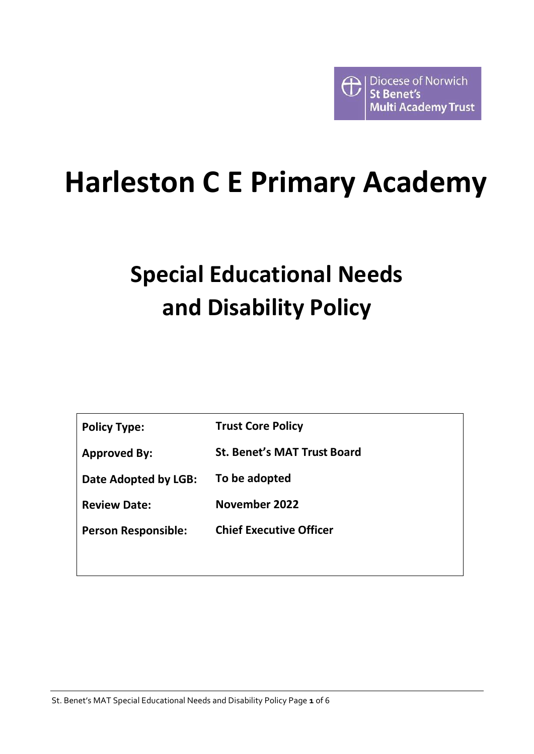

# **Harleston C E Primary Academy**

# **Special Educational Needs and Disability Policy**

| <b>Policy Type:</b>        | <b>Trust Core Policy</b>           |
|----------------------------|------------------------------------|
| <b>Approved By:</b>        | <b>St. Benet's MAT Trust Board</b> |
| Date Adopted by LGB:       | To be adopted                      |
| <b>Review Date:</b>        | November 2022                      |
| <b>Person Responsible:</b> | <b>Chief Executive Officer</b>     |
|                            |                                    |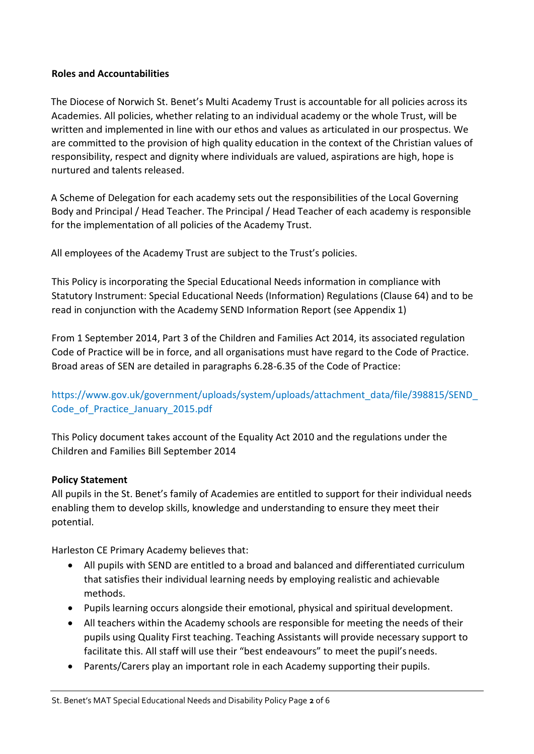#### **Roles and Accountabilities**

The Diocese of Norwich St. Benet's Multi Academy Trust is accountable for all policies across its Academies. All policies, whether relating to an individual academy or the whole Trust, will be written and implemented in line with our ethos and values as articulated in our prospectus. We are committed to the provision of high quality education in the context of the Christian values of responsibility, respect and dignity where individuals are valued, aspirations are high, hope is nurtured and talents released.

A Scheme of Delegation for each academy sets out the responsibilities of the Local Governing Body and Principal / Head Teacher. The Principal / Head Teacher of each academy is responsible for the implementation of all policies of the Academy Trust.

All employees of the Academy Trust are subject to the Trust's policies.

This Policy is incorporating the Special Educational Needs information in compliance with Statutory Instrument: Special Educational Needs (Information) Regulations (Clause 64) and to be read in conjunction with the Academy SEND Information Report (see Appendix 1)

From 1 September 2014, Part 3 of the Children and Families Act 2014, its associated regulation Code of Practice will be in force, and all organisations must have regard to the Code of Practice. Broad areas of SEN are detailed in paragraphs 6.28-6.35 of the Code of Practice:

# https:[//www.gov.uk/government/uploads/system/uploads/attachment\\_data/file/398815/SEND\\_](http://www.gov.uk/government/uploads/system/uploads/attachment_data/file/398815/SEND_) Code\_of\_Practice\_January\_2015.pdf

This Policy document takes account of the Equality Act 2010 and the regulations under the Children and Families Bill September 2014

# **Policy Statement**

All pupils in the St. Benet's family of Academies are entitled to support for their individual needs enabling them to develop skills, knowledge and understanding to ensure they meet their potential.

Harleston CE Primary Academy believes that:

- All pupils with SEND are entitled to a broad and balanced and differentiated curriculum that satisfies their individual learning needs by employing realistic and achievable methods.
- Pupils learning occurs alongside their emotional, physical and spiritual development.
- All teachers within the Academy schools are responsible for meeting the needs of their pupils using Quality First teaching. Teaching Assistants will provide necessary support to facilitate this. All staff will use their "best endeavours" to meet the pupil's needs.
- Parents/Carers play an important role in each Academy supporting their pupils.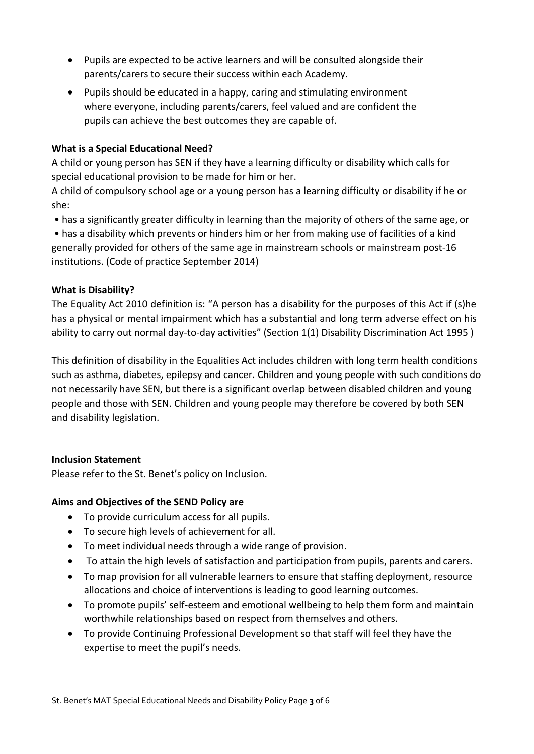- Pupils are expected to be active learners and will be consulted alongside their parents/carers to secure their success within each Academy.
- Pupils should be educated in a happy, caring and stimulating environment where everyone, including parents/carers, feel valued and are confident the pupils can achieve the best outcomes they are capable of.

### **What is a Special Educational Need?**

A child or young person has SEN if they have a learning difficulty or disability which calls for special educational provision to be made for him or her.

A child of compulsory school age or a young person has a learning difficulty or disability if he or she:

• has a significantly greater difficulty in learning than the majority of others of the same age, or

• has a disability which prevents or hinders him or her from making use of facilities of a kind generally provided for others of the same age in mainstream schools or mainstream post-16 institutions. (Code of practice September 2014)

#### **What is Disability?**

The Equality Act 2010 definition is: "A person has a disability for the purposes of this Act if (s)he has a physical or mental impairment which has a substantial and long term adverse effect on his ability to carry out normal day-to-day activities" (Section 1(1) Disability Discrimination Act 1995 )

This definition of disability in the Equalities Act includes children with long term health conditions such as asthma, diabetes, epilepsy and cancer. Children and young people with such conditions do not necessarily have SEN, but there is a significant overlap between disabled children and young people and those with SEN. Children and young people may therefore be covered by both SEN and disability legislation.

#### **Inclusion Statement**

Please refer to the St. Benet's policy on Inclusion.

# **Aims and Objectives of the SEND Policy are**

- To provide curriculum access for all pupils.
- To secure high levels of achievement for all.
- To meet individual needs through a wide range of provision.
- To attain the high levels of satisfaction and participation from pupils, parents and carers.
- To map provision for all vulnerable learners to ensure that staffing deployment, resource allocations and choice of interventions is leading to good learning outcomes.
- To promote pupils' self-esteem and emotional wellbeing to help them form and maintain worthwhile relationships based on respect from themselves and others.
- To provide Continuing Professional Development so that staff will feel they have the expertise to meet the pupil's needs.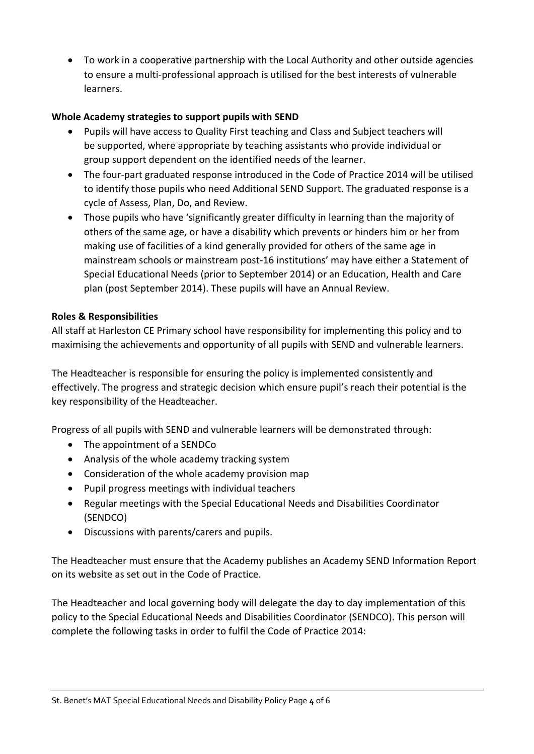• To work in a cooperative partnership with the Local Authority and other outside agencies to ensure a multi-professional approach is utilised for the best interests of vulnerable learners.

### **Whole Academy strategies to support pupils with SEND**

- Pupils will have access to Quality First teaching and Class and Subject teachers will be supported, where appropriate by teaching assistants who provide individual or group support dependent on the identified needs of the learner.
- The four-part graduated response introduced in the Code of Practice 2014 will be utilised to identify those pupils who need Additional SEND Support. The graduated response is a cycle of Assess, Plan, Do, and Review.
- Those pupils who have 'significantly greater difficulty in learning than the majority of others of the same age, or have a disability which prevents or hinders him or her from making use of facilities of a kind generally provided for others of the same age in mainstream schools or mainstream post-16 institutions' may have either a Statement of Special Educational Needs (prior to September 2014) or an Education, Health and Care plan (post September 2014). These pupils will have an Annual Review.

#### **Roles & Responsibilities**

All staff at Harleston CE Primary school have responsibility for implementing this policy and to maximising the achievements and opportunity of all pupils with SEND and vulnerable learners.

The Headteacher is responsible for ensuring the policy is implemented consistently and effectively. The progress and strategic decision which ensure pupil's reach their potential is the key responsibility of the Headteacher.

Progress of all pupils with SEND and vulnerable learners will be demonstrated through:

- The appointment of a SENDCo
- Analysis of the whole academy tracking system
- Consideration of the whole academy provision map
- Pupil progress meetings with individual teachers
- Regular meetings with the Special Educational Needs and Disabilities Coordinator (SENDCO)
- Discussions with parents/carers and pupils.

The Headteacher must ensure that the Academy publishes an Academy SEND Information Report on its website as set out in the Code of Practice.

The Headteacher and local governing body will delegate the day to day implementation of this policy to the Special Educational Needs and Disabilities Coordinator (SENDCO). This person will complete the following tasks in order to fulfil the Code of Practice 2014: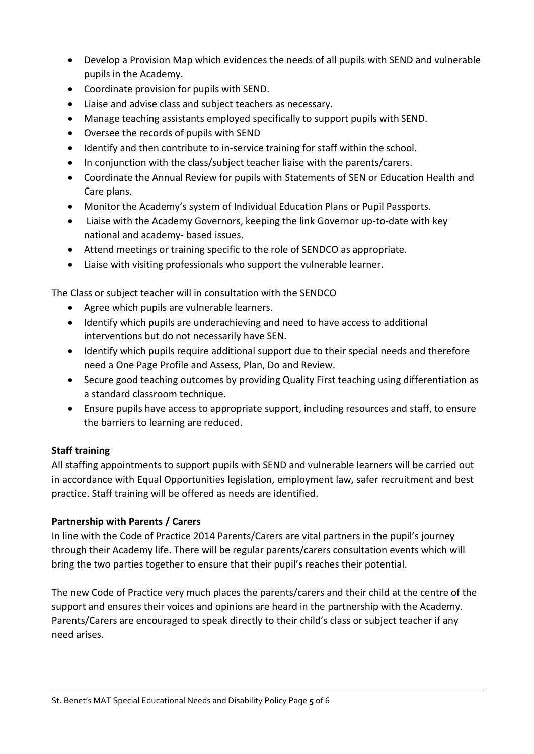- Develop a Provision Map which evidences the needs of all pupils with SEND and vulnerable pupils in the Academy.
- Coordinate provision for pupils with SEND.
- Liaise and advise class and subject teachers as necessary.
- Manage teaching assistants employed specifically to support pupils with SEND.
- Oversee the records of pupils with SEND
- Identify and then contribute to in-service training for staff within the school.
- In conjunction with the class/subject teacher liaise with the parents/carers.
- Coordinate the Annual Review for pupils with Statements of SEN or Education Health and Care plans.
- Monitor the Academy's system of Individual Education Plans or Pupil Passports.
- Liaise with the Academy Governors, keeping the link Governor up-to-date with key national and academy- based issues.
- Attend meetings or training specific to the role of SENDCO as appropriate.
- Liaise with visiting professionals who support the vulnerable learner.

The Class or subject teacher will in consultation with the SENDCO

- Agree which pupils are vulnerable learners.
- Identify which pupils are underachieving and need to have access to additional interventions but do not necessarily have SEN.
- Identify which pupils require additional support due to their special needs and therefore need a One Page Profile and Assess, Plan, Do and Review.
- Secure good teaching outcomes by providing Quality First teaching using differentiation as a standard classroom technique.
- Ensure pupils have access to appropriate support, including resources and staff, to ensure the barriers to learning are reduced.

# **Staff training**

All staffing appointments to support pupils with SEND and vulnerable learners will be carried out in accordance with Equal Opportunities legislation, employment law, safer recruitment and best practice. Staff training will be offered as needs are identified.

# **Partnership with Parents / Carers**

In line with the Code of Practice 2014 Parents/Carers are vital partners in the pupil's journey through their Academy life. There will be regular parents/carers consultation events which will bring the two parties together to ensure that their pupil's reaches their potential.

The new Code of Practice very much places the parents/carers and their child at the centre of the support and ensures their voices and opinions are heard in the partnership with the Academy. Parents/Carers are encouraged to speak directly to their child's class or subject teacher if any need arises.